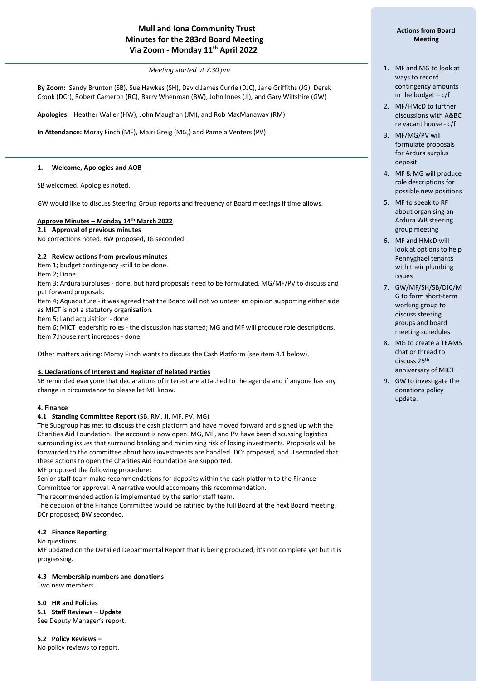# **Mull and Iona Community Trust Minutes for the 283rd Board Meeting Via Zoom - Monday 11 th April 2022**

*Meeting started at 7.30 pm*

**By Zoom:** Sandy Brunton (SB), Sue Hawkes (SH), David James Currie (DJC), Jane Griffiths (JG). Derek Crook (DCr), Robert Cameron (RC), Barry Whenman (BW), John Innes (JI), and Gary Wiltshire (GW)

**Apologies**: Heather Waller (HW), John Maughan (JM), and Rob MacManaway (RM)

**In Attendance:** Moray Finch (MF), Mairi Greig (MG,) and Pamela Venters (PV)

### **1. Welcome, Apologies and AOB**

SB welcomed. Apologies noted.

GW would like to discuss Steering Group reports and frequency of Board meetings if time allows.

#### **Approve Minutes – Monday 14th March 2022**

#### **2.1 Approval of previous minutes**

No corrections noted. BW proposed, JG seconded.

#### **2.2 Review actions from previous minutes**

Item 1; budget contingency -still to be done.

Item 2; Done.

í

Item 3; Ardura surpluses - done, but hard proposals need to be formulated. MG/MF/PV to discuss and put forward proposals.

Item 4; Aquaculture - it was agreed that the Board will not volunteer an opinion supporting either side as MICT is not a statutory organisation.

Item 5; Land acquisition - done

Item 6; MICT leadership roles - the discussion has started; MG and MF will produce role descriptions. Item 7;house rent increases - done

Other matters arising: Moray Finch wants to discuss the Cash Platform (see item 4.1 below).

#### **3. Declarations of Interest and Register of Related Parties**

SB reminded everyone that declarations of interest are attached to the agenda and if anyone has any change in circumstance to please let MF know.

## **4. Finance**

**4.1 Standing Committee Report** (SB, RM, JI, MF, PV, MG)

The Subgroup has met to discuss the cash platform and have moved forward and signed up with the Charities Aid Foundation. The account is now open. MG, MF, and PV have been discussing logistics surrounding issues that surround banking and minimising risk of losing investments. Proposals will be forwarded to the committee about how investments are handled. DCr proposed, and JI seconded that these actions to open the Charities Aid Foundation are supported.

MF proposed the following procedure:

Senior staff team make recommendations for deposits within the cash platform to the Finance Committee for approval. A narrative would accompany this recommendation.

The recommended action is implemented by the senior staff team.

The decision of the Finance Committee would be ratified by the full Board at the next Board meeting. DCr proposed; BW seconded.

## **4.2 Finance Reporting**

No questions.

MF updated on the Detailed Departmental Report that is being produced; it's not complete yet but it is progressing.

#### **4.3 Membership numbers and donations**

Two new members.

#### **5.0 HR and Policies**

**5.1 Staff Reviews – Update**

See Deputy Manager's report.

## **5.2 Policy Reviews –**

No policy reviews to report.

## **Actions from Board Meeting**

- 1. MF and MG to look at ways to record contingency amounts in the budget  $-c/f$
- 2. MF/HMcD to further discussions with A&BC re vacant house - c/f
- 3. MF/MG/PV will formulate proposals for Ardura surplus deposit
- 4. MF & MG will produce role descriptions for possible new positions
- 5. MF to speak to RF about organising an Ardura WB steering group meeting
- 6. MF and HMcD will look at options to help Pennyghael tenants with their plumbing issues
- 7. GW/MF/SH/SB/DJC/M G to form short-term working group to discuss steering groups and board meeting schedules
- 8. MG to create a TEAMS chat or thread to discuss 25th anniversary of MICT
- 9. GW to investigate the donations policy update.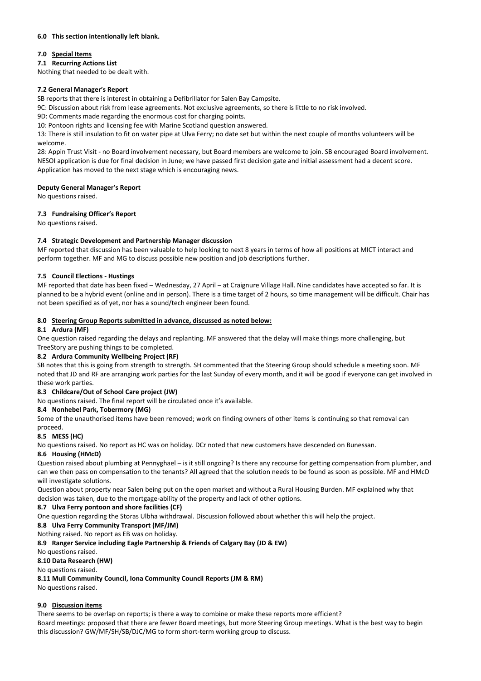## **6.0 This section intentionally left blank.**

## **7.0 Special Items**

## **7.1 Recurring Actions List**

Nothing that needed to be dealt with.

## **7.2 General Manager's Report**

SB reports that there is interest in obtaining a Defibrillator for Salen Bay Campsite.

9C: Discussion about risk from lease agreements. Not exclusive agreements, so there is little to no risk involved.

9D: Comments made regarding the enormous cost for charging points.

10: Pontoon rights and licensing fee with Marine Scotland question answered.

13: There is still insulation to fit on water pipe at Ulva Ferry; no date set but within the next couple of months volunteers will be welcome.

28: Appin Trust Visit - no Board involvement necessary, but Board members are welcome to join. SB encouraged Board involvement. NESOI application is due for final decision in June; we have passed first decision gate and initial assessment had a decent score. Application has moved to the next stage which is encouraging news.

## **Deputy General Manager's Report**

No questions raised.

## **7.3 Fundraising Officer's Report**

No questions raised.

## **7.4 Strategic Development and Partnership Manager discussion**

MF reported that discussion has been valuable to help looking to next 8 years in terms of how all positions at MICT interact and perform together. MF and MG to discuss possible new position and job descriptions further.

## **7.5 Council Elections - Hustings**

MF reported that date has been fixed – Wednesday, 27 April – at Craignure Village Hall. Nine candidates have accepted so far. It is planned to be a hybrid event (online and in person). There is a time target of 2 hours, so time management will be difficult. Chair has not been specified as of yet, nor has a sound/tech engineer been found.

## **8.0 Steering Group Reports submitted in advance, discussed as noted below:**

## **8.1 Ardura (MF)**

One question raised regarding the delays and replanting. MF answered that the delay will make things more challenging, but TreeStory are pushing things to be completed.

## **8.2 Ardura Community Wellbeing Project (RF)**

SB notes that this is going from strength to strength. SH commented that the Steering Group should schedule a meeting soon. MF noted that JD and RF are arranging work parties for the last Sunday of every month, and it will be good if everyone can get involved in these work parties.

## **8.3 Childcare/Out of School Care project (JW)**

No questions raised. The final report will be circulated once it's available.

## **8.4 Nonhebel Park, Tobermory (MG)**

Some of the unauthorised items have been removed; work on finding owners of other items is continuing so that removal can

#### proceed. **8.5 MESS (HC)**

No questions raised. No report as HC was on holiday. DCr noted that new customers have descended on Bunessan.

## **8.6 Housing (HMcD)**

Question raised about plumbing at Pennyghael – is it still ongoing? Is there any recourse for getting compensation from plumber, and can we then pass on compensation to the tenants? All agreed that the solution needs to be found as soon as possible. MF and HMcD will investigate solutions.

Question about property near Salen being put on the open market and without a Rural Housing Burden. MF explained why that decision was taken, due to the mortgage-ability of the property and lack of other options.

## **8.7 Ulva Ferry pontoon and shore facilities (CF)**

One question regarding the Storas Ulbha withdrawal. Discussion followed about whether this will help the project.

**8.8 Ulva Ferry Community Transport (MF/JM)**

Nothing raised. No report as EB was on holiday.

**8.9 Ranger Service including Eagle Partnership & Friends of Calgary Bay (JD & EW)**

No questions raised.

## **8.10 Data Research (HW)**

No questions raised.

**8.11 Mull Community Council, Iona Community Council Reports (JM & RM)**

No questions raised.

## **9.0 Discussion items**

There seems to be overlap on reports; is there a way to combine or make these reports more efficient? Board meetings: proposed that there are fewer Board meetings, but more Steering Group meetings. What is the best way to begin this discussion? GW/MF/SH/SB/DJC/MG to form short-term working group to discuss.